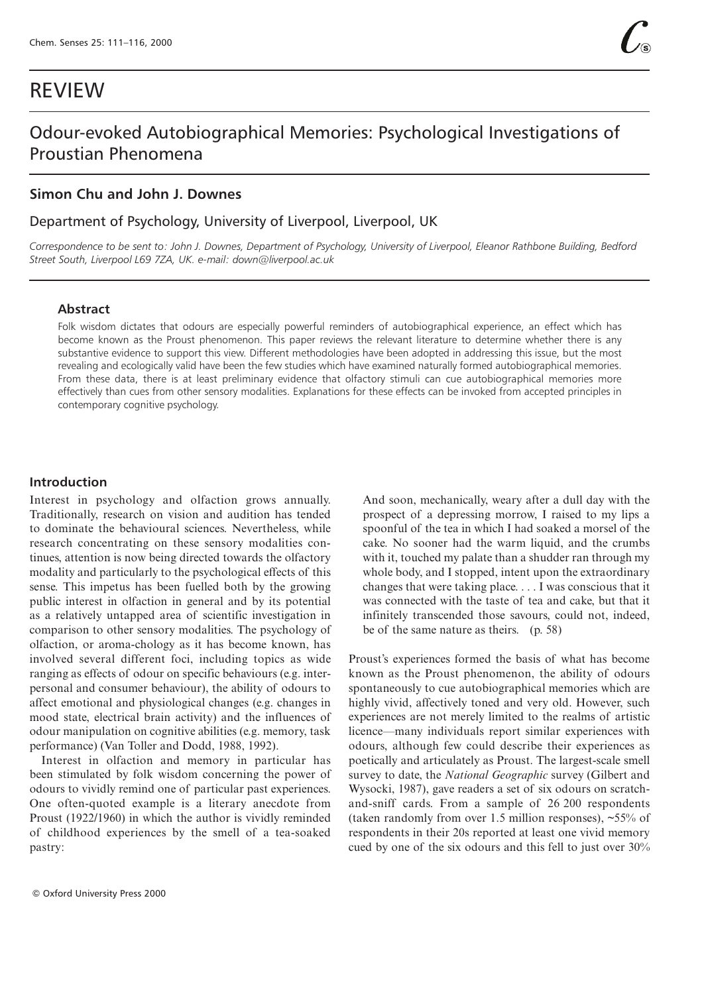# REVIEW

# Odour-evoked Autobiographical Memories: Psychological Investigations of Proustian Phenomena

# **Simon Chu and John J. Downes**

# Department of Psychology, University of Liverpool, Liverpool, UK

*Correspondence to be sent to: John J. Downes, Department of Psychology, University of Liverpool, Eleanor Rathbone Building, Bedford Street South, Liverpool L69 7ZA, UK. e-mail: down@liverpool.ac.uk*

#### **Abstract**

Folk wisdom dictates that odours are especially powerful reminders of autobiographical experience, an effect which has become known as the Proust phenomenon. This paper reviews the relevant literature to determine whether there is any substantive evidence to support this view. Different methodologies have been adopted in addressing this issue, but the most revealing and ecologically valid have been the few studies which have examined naturally formed autobiographical memories. From these data, there is at least preliminary evidence that olfactory stimuli can cue autobiographical memories more effectively than cues from other sensory modalities. Explanations for these effects can be invoked from accepted principles in contemporary cognitive psychology.

## **Introduction**

Interest in psychology and olfaction grows annually. Traditionally, research on vision and audition has tended to dominate the behavioural sciences. Nevertheless, while research concentrating on these sensory modalities continues, attention is now being directed towards the olfactory modality and particularly to the psychological effects of this sense. This impetus has been fuelled both by the growing public interest in olfaction in general and by its potential as a relatively untapped area of scientific investigation in comparison to other sensory modalities. The psychology of olfaction, or aroma-chology as it has become known, has involved several different foci, including topics as wide ranging as effects of odour on specific behaviours (e.g. interpersonal and consumer behaviour), the ability of odours to affect emotional and physiological changes (e.g. changes in mood state, electrical brain activity) and the influences of odour manipulation on cognitive abilities (e.g. memory, task performance) (Van Toller and Dodd, 1988, 1992).

Interest in olfaction and memory in particular has been stimulated by folk wisdom concerning the power of odours to vividly remind one of particular past experiences. One often-quoted example is a literary anecdote from Proust (1922/1960) in which the author is vividly reminded of childhood experiences by the smell of a tea-soaked pastry:

And soon, mechanically, weary after a dull day with the prospect of a depressing morrow, I raised to my lips a spoonful of the tea in which I had soaked a morsel of the cake. No sooner had the warm liquid, and the crumbs with it, touched my palate than a shudder ran through my whole body, and I stopped, intent upon the extraordinary changes that were taking place. . . . I was conscious that it was connected with the taste of tea and cake, but that it infinitely transcended those savours, could not, indeed, be of the same nature as theirs. (p. 58)

Proust's experiences formed the basis of what has become known as the Proust phenomenon, the ability of odours spontaneously to cue autobiographical memories which are highly vivid, affectively toned and very old. However, such experiences are not merely limited to the realms of artistic licence—many individuals report similar experiences with odours, although few could describe their experiences as poetically and articulately as Proust. The largest-scale smell survey to date, the *National Geographic* survey (Gilbert and Wysocki, 1987), gave readers a set of six odours on scratchand-sniff cards. From a sample of 26 200 respondents (taken randomly from over 1.5 million responses), ~55% of respondents in their 20s reported at least one vivid memory cued by one of the six odours and this fell to just over 30%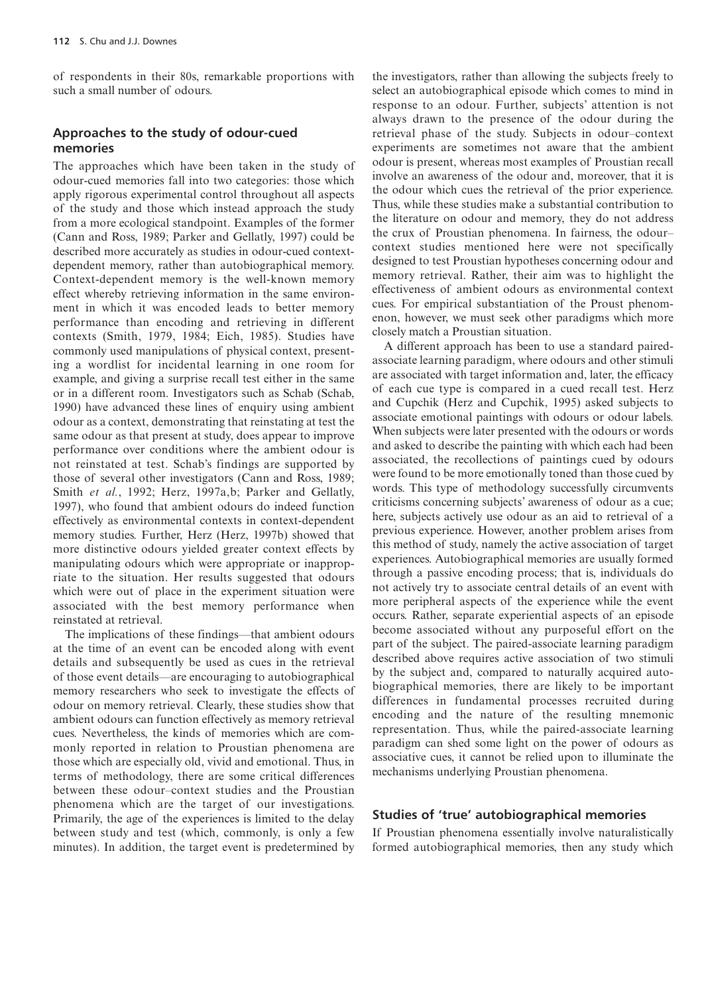of respondents in their 80s, remarkable proportions with such a small number of odours.

### **Approaches to the study of odour-cued memories**

The approaches which have been taken in the study of odour-cued memories fall into two categories: those which apply rigorous experimental control throughout all aspects of the study and those which instead approach the study from a more ecological standpoint. Examples of the former (Cann and Ross, 1989; Parker and Gellatly, 1997) could be described more accurately as studies in odour-cued contextdependent memory, rather than autobiographical memory. Context-dependent memory is the well-known memory effect whereby retrieving information in the same environment in which it was encoded leads to better memory performance than encoding and retrieving in different contexts (Smith, 1979, 1984; Eich, 1985). Studies have commonly used manipulations of physical context, presenting a wordlist for incidental learning in one room for example, and giving a surprise recall test either in the same or in a different room. Investigators such as Schab (Schab, 1990) have advanced these lines of enquiry using ambient odour as a context, demonstrating that reinstating at test the same odour as that present at study, does appear to improve performance over conditions where the ambient odour is not reinstated at test. Schab's findings are supported by those of several other investigators (Cann and Ross, 1989; Smith *et al.*, 1992; Herz, 1997a,b; Parker and Gellatly, 1997), who found that ambient odours do indeed function effectively as environmental contexts in context-dependent memory studies. Further, Herz (Herz, 1997b) showed that more distinctive odours yielded greater context effects by manipulating odours which were appropriate or inappropriate to the situation. Her results suggested that odours which were out of place in the experiment situation were associated with the best memory performance when reinstated at retrieval.

The implications of these findings—that ambient odours at the time of an event can be encoded along with event details and subsequently be used as cues in the retrieval of those event details—are encouraging to autobiographical memory researchers who seek to investigate the effects of odour on memory retrieval. Clearly, these studies show that ambient odours can function effectively as memory retrieval cues. Nevertheless, the kinds of memories which are commonly reported in relation to Proustian phenomena are those which are especially old, vivid and emotional. Thus, in terms of methodology, there are some critical differences between these odour–context studies and the Proustian phenomena which are the target of our investigations. Primarily, the age of the experiences is limited to the delay between study and test (which, commonly, is only a few minutes). In addition, the target event is predetermined by

the investigators, rather than allowing the subjects freely to select an autobiographical episode which comes to mind in response to an odour. Further, subjects' attention is not always drawn to the presence of the odour during the retrieval phase of the study. Subjects in odour–context experiments are sometimes not aware that the ambient odour is present, whereas most examples of Proustian recall involve an awareness of the odour and, moreover, that it is the odour which cues the retrieval of the prior experience. Thus, while these studies make a substantial contribution to the literature on odour and memory, they do not address the crux of Proustian phenomena. In fairness, the odour– context studies mentioned here were not specifically designed to test Proustian hypotheses concerning odour and memory retrieval. Rather, their aim was to highlight the effectiveness of ambient odours as environmental context cues. For empirical substantiation of the Proust phenomenon, however, we must seek other paradigms which more closely match a Proustian situation.

A different approach has been to use a standard pairedassociate learning paradigm, where odours and other stimuli are associated with target information and, later, the efficacy of each cue type is compared in a cued recall test. Herz and Cupchik (Herz and Cupchik, 1995) asked subjects to associate emotional paintings with odours or odour labels. When subjects were later presented with the odours or words and asked to describe the painting with which each had been associated, the recollections of paintings cued by odours were found to be more emotionally toned than those cued by words. This type of methodology successfully circumvents criticisms concerning subjects' awareness of odour as a cue; here, subjects actively use odour as an aid to retrieval of a previous experience. However, another problem arises from this method of study, namely the active association of target experiences. Autobiographical memories are usually formed through a passive encoding process; that is, individuals do not actively try to associate central details of an event with more peripheral aspects of the experience while the event occurs. Rather, separate experiential aspects of an episode become associated without any purposeful effort on the part of the subject. The paired-associate learning paradigm described above requires active association of two stimuli by the subject and, compared to naturally acquired autobiographical memories, there are likely to be important differences in fundamental processes recruited during encoding and the nature of the resulting mnemonic representation. Thus, while the paired-associate learning paradigm can shed some light on the power of odours as associative cues, it cannot be relied upon to illuminate the mechanisms underlying Proustian phenomena.

#### **Studies of 'true' autobiographical memories**

If Proustian phenomena essentially involve naturalistically formed autobiographical memories, then any study which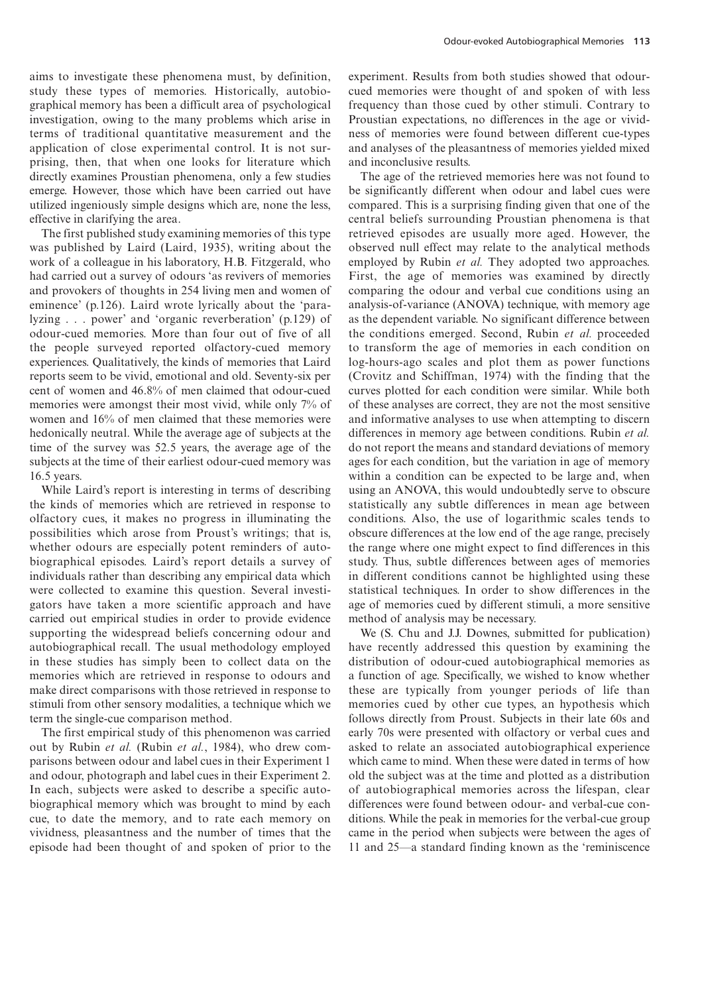aims to investigate these phenomena must, by definition, study these types of memories. Historically, autobiographical memory has been a difficult area of psychological investigation, owing to the many problems which arise in terms of traditional quantitative measurement and the application of close experimental control. It is not surprising, then, that when one looks for literature which directly examines Proustian phenomena, only a few studies emerge. However, those which have been carried out have utilized ingeniously simple designs which are, none the less, effective in clarifying the area.

The first published study examining memories of this type was published by Laird (Laird, 1935), writing about the work of a colleague in his laboratory, H.B. Fitzgerald, who had carried out a survey of odours 'as revivers of memories and provokers of thoughts in 254 living men and women of eminence' (p.126). Laird wrote lyrically about the 'paralyzing . . . power' and 'organic reverberation' (p.129) of odour-cued memories. More than four out of five of all the people surveyed reported olfactory-cued memory experiences. Qualitatively, the kinds of memories that Laird reports seem to be vivid, emotional and old. Seventy-six per cent of women and 46.8% of men claimed that odour-cued memories were amongst their most vivid, while only 7% of women and 16% of men claimed that these memories were hedonically neutral. While the average age of subjects at the time of the survey was 52.5 years, the average age of the subjects at the time of their earliest odour-cued memory was 16.5 years.

While Laird's report is interesting in terms of describing the kinds of memories which are retrieved in response to olfactory cues, it makes no progress in illuminating the possibilities which arose from Proust's writings; that is, whether odours are especially potent reminders of autobiographical episodes. Laird's report details a survey of individuals rather than describing any empirical data which were collected to examine this question. Several investigators have taken a more scientific approach and have carried out empirical studies in order to provide evidence supporting the widespread beliefs concerning odour and autobiographical recall. The usual methodology employed in these studies has simply been to collect data on the memories which are retrieved in response to odours and make direct comparisons with those retrieved in response to stimuli from other sensory modalities, a technique which we term the single-cue comparison method.

The first empirical study of this phenomenon was carried out by Rubin *et al.* (Rubin *et al.*, 1984), who drew comparisons between odour and label cues in their Experiment 1 and odour, photograph and label cues in their Experiment 2. In each, subjects were asked to describe a specific autobiographical memory which was brought to mind by each cue, to date the memory, and to rate each memory on vividness, pleasantness and the number of times that the episode had been thought of and spoken of prior to the experiment. Results from both studies showed that odourcued memories were thought of and spoken of with less frequency than those cued by other stimuli. Contrary to Proustian expectations, no differences in the age or vividness of memories were found between different cue-types and analyses of the pleasantness of memories yielded mixed and inconclusive results.

The age of the retrieved memories here was not found to be significantly different when odour and label cues were compared. This is a surprising finding given that one of the central beliefs surrounding Proustian phenomena is that retrieved episodes are usually more aged. However, the observed null effect may relate to the analytical methods employed by Rubin *et al.* They adopted two approaches. First, the age of memories was examined by directly comparing the odour and verbal cue conditions using an analysis-of-variance (ANOVA) technique, with memory age as the dependent variable. No significant difference between the conditions emerged. Second, Rubin *et al.* proceeded to transform the age of memories in each condition on log-hours-ago scales and plot them as power functions (Crovitz and Schiffman, 1974) with the finding that the curves plotted for each condition were similar. While both of these analyses are correct, they are not the most sensitive and informative analyses to use when attempting to discern differences in memory age between conditions. Rubin *et al.* do not report the means and standard deviations of memory ages for each condition, but the variation in age of memory within a condition can be expected to be large and, when using an ANOVA, this would undoubtedly serve to obscure statistically any subtle differences in mean age between conditions. Also, the use of logarithmic scales tends to obscure differences at the low end of the age range, precisely the range where one might expect to find differences in this study. Thus, subtle differences between ages of memories in different conditions cannot be highlighted using these statistical techniques. In order to show differences in the age of memories cued by different stimuli, a more sensitive method of analysis may be necessary.

We (S. Chu and J.J. Downes, submitted for publication) have recently addressed this question by examining the distribution of odour-cued autobiographical memories as a function of age. Specifically, we wished to know whether these are typically from younger periods of life than memories cued by other cue types, an hypothesis which follows directly from Proust. Subjects in their late 60s and early 70s were presented with olfactory or verbal cues and asked to relate an associated autobiographical experience which came to mind. When these were dated in terms of how old the subject was at the time and plotted as a distribution of autobiographical memories across the lifespan, clear differences were found between odour- and verbal-cue conditions. While the peak in memories for the verbal-cue group came in the period when subjects were between the ages of 11 and 25—a standard finding known as the 'reminiscence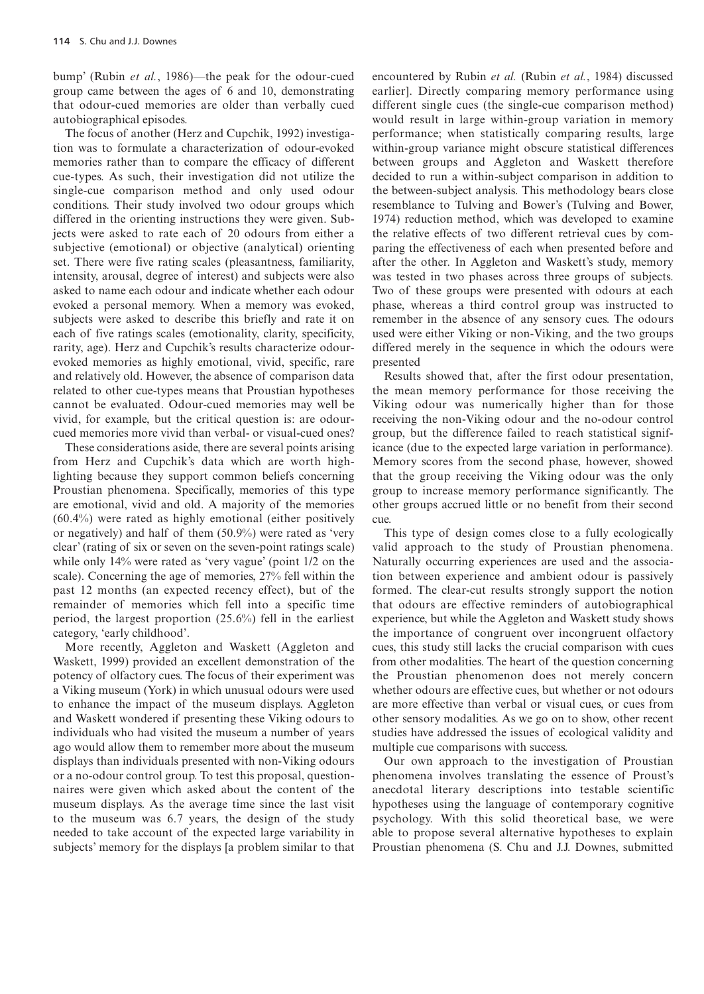bump' (Rubin *et al.*, 1986)—the peak for the odour-cued group came between the ages of 6 and 10, demonstrating that odour-cued memories are older than verbally cued autobiographical episodes.

The focus of another (Herz and Cupchik, 1992) investigation was to formulate a characterization of odour-evoked memories rather than to compare the efficacy of different cue-types. As such, their investigation did not utilize the single-cue comparison method and only used odour conditions. Their study involved two odour groups which differed in the orienting instructions they were given. Subjects were asked to rate each of 20 odours from either a subjective (emotional) or objective (analytical) orienting set. There were five rating scales (pleasantness, familiarity, intensity, arousal, degree of interest) and subjects were also asked to name each odour and indicate whether each odour evoked a personal memory. When a memory was evoked, subjects were asked to describe this briefly and rate it on each of five ratings scales (emotionality, clarity, specificity, rarity, age). Herz and Cupchik's results characterize odourevoked memories as highly emotional, vivid, specific, rare and relatively old. However, the absence of comparison data related to other cue-types means that Proustian hypotheses cannot be evaluated. Odour-cued memories may well be vivid, for example, but the critical question is: are odourcued memories more vivid than verbal- or visual-cued ones?

These considerations aside, there are several points arising from Herz and Cupchik's data which are worth highlighting because they support common beliefs concerning Proustian phenomena. Specifically, memories of this type are emotional, vivid and old. A majority of the memories (60.4%) were rated as highly emotional (either positively or negatively) and half of them (50.9%) were rated as 'very clear' (rating of six or seven on the seven-point ratings scale) while only 14% were rated as 'very vague' (point 1/2 on the scale). Concerning the age of memories, 27% fell within the past 12 months (an expected recency effect), but of the remainder of memories which fell into a specific time period, the largest proportion (25.6%) fell in the earliest category, 'early childhood'.

More recently, Aggleton and Waskett (Aggleton and Waskett, 1999) provided an excellent demonstration of the potency of olfactory cues. The focus of their experiment was a Viking museum (York) in which unusual odours were used to enhance the impact of the museum displays. Aggleton and Waskett wondered if presenting these Viking odours to individuals who had visited the museum a number of years ago would allow them to remember more about the museum displays than individuals presented with non-Viking odours or a no-odour control group. To test this proposal, questionnaires were given which asked about the content of the museum displays. As the average time since the last visit to the museum was 6.7 years, the design of the study needed to take account of the expected large variability in subjects' memory for the displays [a problem similar to that

encountered by Rubin *et al.* (Rubin *et al.*, 1984) discussed earlier]. Directly comparing memory performance using different single cues (the single-cue comparison method) would result in large within-group variation in memory performance; when statistically comparing results, large within-group variance might obscure statistical differences between groups and Aggleton and Waskett therefore decided to run a within-subject comparison in addition to the between-subject analysis. This methodology bears close resemblance to Tulving and Bower's (Tulving and Bower, 1974) reduction method, which was developed to examine the relative effects of two different retrieval cues by comparing the effectiveness of each when presented before and after the other. In Aggleton and Waskett's study, memory was tested in two phases across three groups of subjects. Two of these groups were presented with odours at each phase, whereas a third control group was instructed to remember in the absence of any sensory cues. The odours used were either Viking or non-Viking, and the two groups differed merely in the sequence in which the odours were presented

Results showed that, after the first odour presentation, the mean memory performance for those receiving the Viking odour was numerically higher than for those receiving the non-Viking odour and the no-odour control group, but the difference failed to reach statistical significance (due to the expected large variation in performance). Memory scores from the second phase, however, showed that the group receiving the Viking odour was the only group to increase memory performance significantly. The other groups accrued little or no benefit from their second cue.

This type of design comes close to a fully ecologically valid approach to the study of Proustian phenomena. Naturally occurring experiences are used and the association between experience and ambient odour is passively formed. The clear-cut results strongly support the notion that odours are effective reminders of autobiographical experience, but while the Aggleton and Waskett study shows the importance of congruent over incongruent olfactory cues, this study still lacks the crucial comparison with cues from other modalities. The heart of the question concerning the Proustian phenomenon does not merely concern whether odours are effective cues, but whether or not odours are more effective than verbal or visual cues, or cues from other sensory modalities. As we go on to show, other recent studies have addressed the issues of ecological validity and multiple cue comparisons with success.

Our own approach to the investigation of Proustian phenomena involves translating the essence of Proust's anecdotal literary descriptions into testable scientific hypotheses using the language of contemporary cognitive psychology. With this solid theoretical base, we were able to propose several alternative hypotheses to explain Proustian phenomena (S. Chu and J.J. Downes, submitted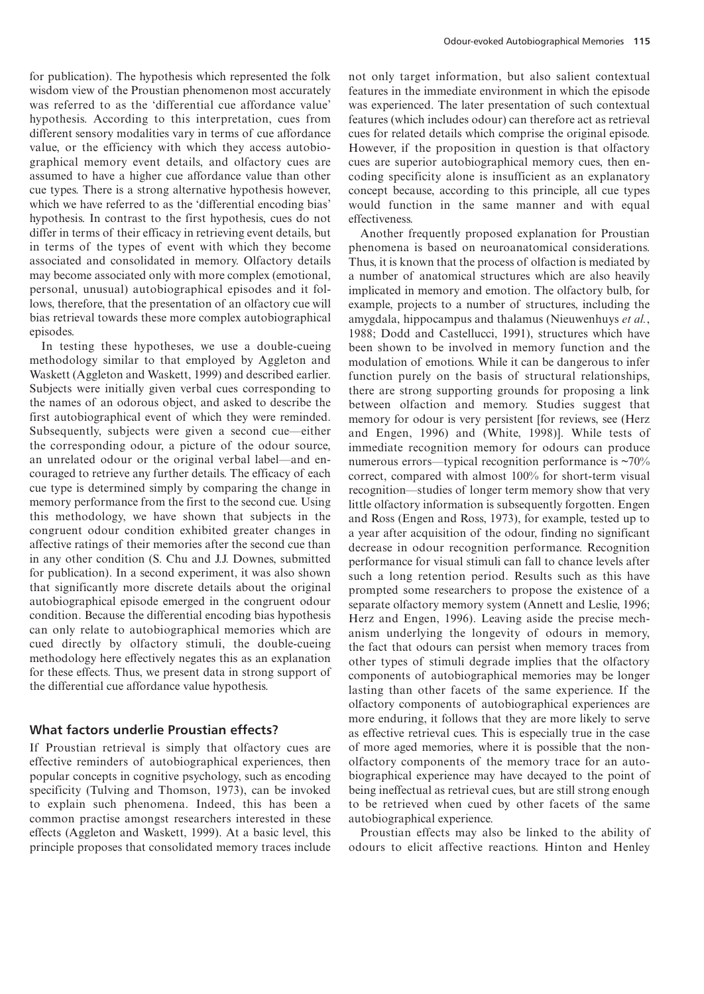for publication). The hypothesis which represented the folk wisdom view of the Proustian phenomenon most accurately was referred to as the 'differential cue affordance value' hypothesis. According to this interpretation, cues from different sensory modalities vary in terms of cue affordance value, or the efficiency with which they access autobiographical memory event details, and olfactory cues are assumed to have a higher cue affordance value than other cue types. There is a strong alternative hypothesis however, which we have referred to as the 'differential encoding bias' hypothesis. In contrast to the first hypothesis, cues do not differ in terms of their efficacy in retrieving event details, but in terms of the types of event with which they become associated and consolidated in memory. Olfactory details may become associated only with more complex (emotional, personal, unusual) autobiographical episodes and it follows, therefore, that the presentation of an olfactory cue will bias retrieval towards these more complex autobiographical episodes.

In testing these hypotheses, we use a double-cueing methodology similar to that employed by Aggleton and Waskett (Aggleton and Waskett, 1999) and described earlier. Subjects were initially given verbal cues corresponding to the names of an odorous object, and asked to describe the first autobiographical event of which they were reminded. Subsequently, subjects were given a second cue—either the corresponding odour, a picture of the odour source, an unrelated odour or the original verbal label—and encouraged to retrieve any further details. The efficacy of each cue type is determined simply by comparing the change in memory performance from the first to the second cue. Using this methodology, we have shown that subjects in the congruent odour condition exhibited greater changes in affective ratings of their memories after the second cue than in any other condition (S. Chu and J.J. Downes, submitted for publication). In a second experiment, it was also shown that significantly more discrete details about the original autobiographical episode emerged in the congruent odour condition. Because the differential encoding bias hypothesis can only relate to autobiographical memories which are cued directly by olfactory stimuli, the double-cueing methodology here effectively negates this as an explanation for these effects. Thus, we present data in strong support of the differential cue affordance value hypothesis.

#### **What factors underlie Proustian effects?**

If Proustian retrieval is simply that olfactory cues are effective reminders of autobiographical experiences, then popular concepts in cognitive psychology, such as encoding specificity (Tulving and Thomson, 1973), can be invoked to explain such phenomena. Indeed, this has been a common practise amongst researchers interested in these effects (Aggleton and Waskett, 1999). At a basic level, this principle proposes that consolidated memory traces include not only target information, but also salient contextual features in the immediate environment in which the episode was experienced. The later presentation of such contextual features (which includes odour) can therefore act as retrieval cues for related details which comprise the original episode. However, if the proposition in question is that olfactory cues are superior autobiographical memory cues, then encoding specificity alone is insufficient as an explanatory concept because, according to this principle, all cue types would function in the same manner and with equal effectiveness.

Another frequently proposed explanation for Proustian phenomena is based on neuroanatomical considerations. Thus, it is known that the process of olfaction is mediated by a number of anatomical structures which are also heavily implicated in memory and emotion. The olfactory bulb, for example, projects to a number of structures, including the amygdala, hippocampus and thalamus (Nieuwenhuys *et al.*, 1988; Dodd and Castellucci, 1991), structures which have been shown to be involved in memory function and the modulation of emotions. While it can be dangerous to infer function purely on the basis of structural relationships, there are strong supporting grounds for proposing a link between olfaction and memory. Studies suggest that memory for odour is very persistent [for reviews, see (Herz and Engen, 1996) and (White, 1998)]. While tests of immediate recognition memory for odours can produce numerous errors—typical recognition performance is ~70% correct, compared with almost 100% for short-term visual recognition—studies of longer term memory show that very little olfactory information is subsequently forgotten. Engen and Ross (Engen and Ross, 1973), for example, tested up to a year after acquisition of the odour, finding no significant decrease in odour recognition performance. Recognition performance for visual stimuli can fall to chance levels after such a long retention period. Results such as this have prompted some researchers to propose the existence of a separate olfactory memory system (Annett and Leslie, 1996; Herz and Engen, 1996). Leaving aside the precise mechanism underlying the longevity of odours in memory, the fact that odours can persist when memory traces from other types of stimuli degrade implies that the olfactory components of autobiographical memories may be longer lasting than other facets of the same experience. If the olfactory components of autobiographical experiences are more enduring, it follows that they are more likely to serve as effective retrieval cues. This is especially true in the case of more aged memories, where it is possible that the nonolfactory components of the memory trace for an autobiographical experience may have decayed to the point of being ineffectual as retrieval cues, but are still strong enough to be retrieved when cued by other facets of the same autobiographical experience.

Proustian effects may also be linked to the ability of odours to elicit affective reactions. Hinton and Henley